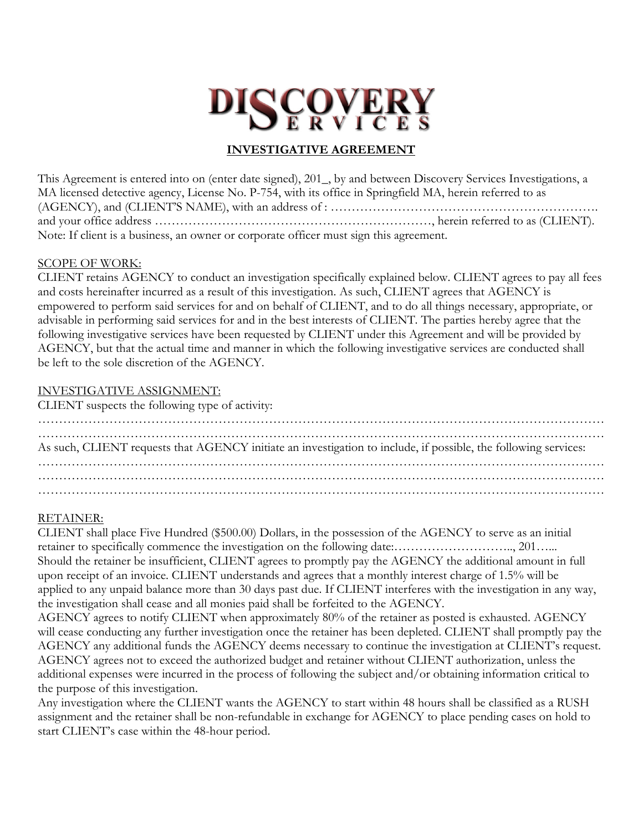# **DISCOVERY**

## **INVESTIGATIVE AGREEMENT**

This Agreement is entered into on (enter date signed), 201\_, by and between Discovery Services Investigations, a MA licensed detective agency, License No. P-754, with its office in Springfield MA, herein referred to as (AGENCY), and (CLIENT'S NAME), with an address of : ………………………………………………………. and your office address …………………………………………………………, herein referred to as (CLIENT). Note: If client is a business, an owner or corporate officer must sign this agreement.

## SCOPE OF WORK:

CLIENT retains AGENCY to conduct an investigation specifically explained below. CLIENT agrees to pay all fees and costs hereinafter incurred as a result of this investigation. As such, CLIENT agrees that AGENCY is empowered to perform said services for and on behalf of CLIENT, and to do all things necessary, appropriate, or advisable in performing said services for and in the best interests of CLIENT. The parties hereby agree that the following investigative services have been requested by CLIENT under this Agreement and will be provided by AGENCY, but that the actual time and manner in which the following investigative services are conducted shall be left to the sole discretion of the AGENCY.

## INVESTIGATIVE ASSIGNMENT:

CLIENT suspects the following type of activity:

| As such, CLIENT requests that AGENCY initiate an investigation to include, if possible, the following services: |  |
|-----------------------------------------------------------------------------------------------------------------|--|
|                                                                                                                 |  |
|                                                                                                                 |  |

## RETAINER:

CLIENT shall place Five Hundred (\$500.00) Dollars, in the possession of the AGENCY to serve as an initial retainer to specifically commence the investigation on the following date:……………………….., 201…... Should the retainer be insufficient, CLIENT agrees to promptly pay the AGENCY the additional amount in full upon receipt of an invoice. CLIENT understands and agrees that a monthly interest charge of 1.5% will be applied to any unpaid balance more than 30 days past due. If CLIENT interferes with the investigation in any way, the investigation shall cease and all monies paid shall be forfeited to the AGENCY.

AGENCY agrees to notify CLIENT when approximately 80% of the retainer as posted is exhausted. AGENCY will cease conducting any further investigation once the retainer has been depleted. CLIENT shall promptly pay the AGENCY any additional funds the AGENCY deems necessary to continue the investigation at CLIENT's request. AGENCY agrees not to exceed the authorized budget and retainer without CLIENT authorization, unless the additional expenses were incurred in the process of following the subject and/or obtaining information critical to the purpose of this investigation.

Any investigation where the CLIENT wants the AGENCY to start within 48 hours shall be classified as a RUSH assignment and the retainer shall be non-refundable in exchange for AGENCY to place pending cases on hold to start CLIENT's case within the 48-hour period.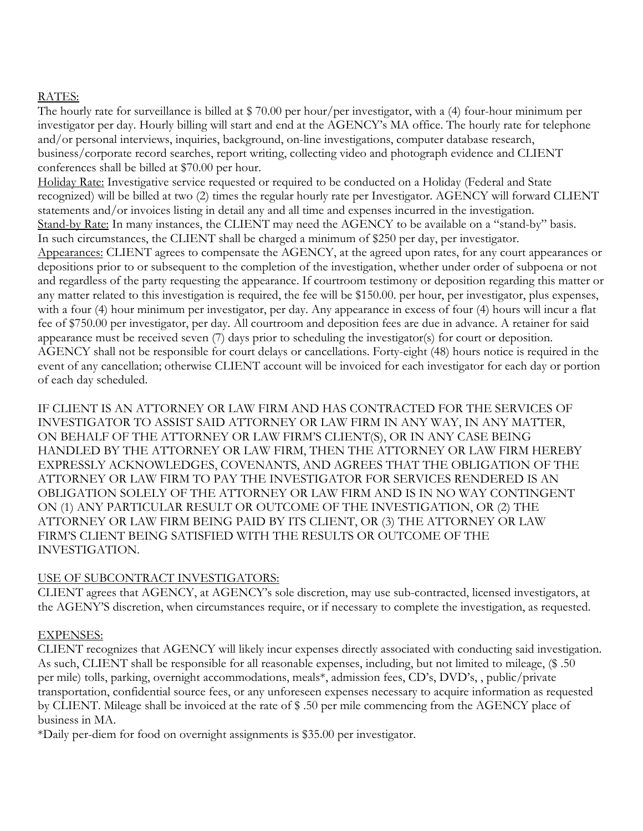## RATES:

The hourly rate for surveillance is billed at \$70.00 per hour/per investigator, with a (4) four-hour minimum per investigator per day. Hourly billing will start and end at the AGENCY's MA office. The hourly rate for telephone and/or personal interviews, inquiries, background, on-line investigations, computer database research, business/corporate record searches, report writing, collecting video and photograph evidence and CLIENT conferences shall be billed at \$70.00 per hour.

Holiday Rate: Investigative service requested or required to be conducted on a Holiday (Federal and State recognized) will be billed at two (2) times the regular hourly rate per Investigator. AGENCY will forward CLIENT statements and/or invoices listing in detail any and all time and expenses incurred in the investigation. Stand-by Rate: In many instances, the CLIENT may need the AGENCY to be available on a "stand-by" basis. In such circumstances, the CLIENT shall be charged a minimum of \$250 per day, per investigator. Appearances: CLIENT agrees to compensate the AGENCY, at the agreed upon rates, for any court appearances or depositions prior to or subsequent to the completion of the investigation, whether under order of subpoena or not and regardless of the party requesting the appearance. If courtroom testimony or deposition regarding this matter or any matter related to this investigation is required, the fee will be \$150.00. per hour, per investigator, plus expenses, with a four (4) hour minimum per investigator, per day. Any appearance in excess of four (4) hours will incur a flat fee of \$750.00 per investigator, per day. All courtroom and deposition fees are due in advance. A retainer for said appearance must be received seven (7) days prior to scheduling the investigator(s) for court or deposition. AGENCY shall not be responsible for court delays or cancellations. Forty-eight (48) hours notice is required in the event of any cancellation; otherwise CLIENT account will be invoiced for each investigator for each day or portion of each day scheduled.

IF CLIENT IS AN ATTORNEY OR LAW FIRM AND HAS CONTRACTED FOR THE SERVICES OF INVESTIGATOR TO ASSIST SAID ATTORNEY OR LAW FIRM IN ANY WAY, IN ANY MATTER, ON BEHALF OF THE ATTORNEY OR LAW FIRM'S CLIENT(S), OR IN ANY CASE BEING HANDLED BY THE ATTORNEY OR LAW FIRM, THEN THE ATTORNEY OR LAW FIRM HEREBY EXPRESSLY ACKNOWLEDGES, COVENANTS, AND AGREES THAT THE OBLIGATION OF THE ATTORNEY OR LAW FIRM TO PAY THE INVESTIGATOR FOR SERVICES RENDERED IS AN OBLIGATION SOLELY OF THE ATTORNEY OR LAW FIRM AND IS IN NO WAY CONTINGENT ON (1) ANY PARTICULAR RESULT OR OUTCOME OF THE INVESTIGATION, OR (2) THE ATTORNEY OR LAW FIRM BEING PAID BY ITS CLIENT, OR (3) THE ATTORNEY OR LAW FIRM'S CLIENT BEING SATISFIED WITH THE RESULTS OR OUTCOME OF THE INVESTIGATION.

## USE OF SUBCONTRACT INVESTIGATORS:

CLIENT agrees that AGENCY, at AGENCY's sole discretion, may use sub-contracted, licensed investigators, at the AGENY'S discretion, when circumstances require, or if necessary to complete the investigation, as requested.

## EXPENSES:

CLIENT recognizes that AGENCY will likely incur expenses directly associated with conducting said investigation. As such, CLIENT shall be responsible for all reasonable expenses, including, but not limited to mileage, (\$ .50 per mile) tolls, parking, overnight accommodations, meals\*, admission fees, CD's, DVD's, , public/private transportation, confidential source fees, or any unforeseen expenses necessary to acquire information as requested by CLIENT. Mileage shall be invoiced at the rate of \$ .50 per mile commencing from the AGENCY place of business in MA.

\*Daily per-diem for food on overnight assignments is \$35.00 per investigator.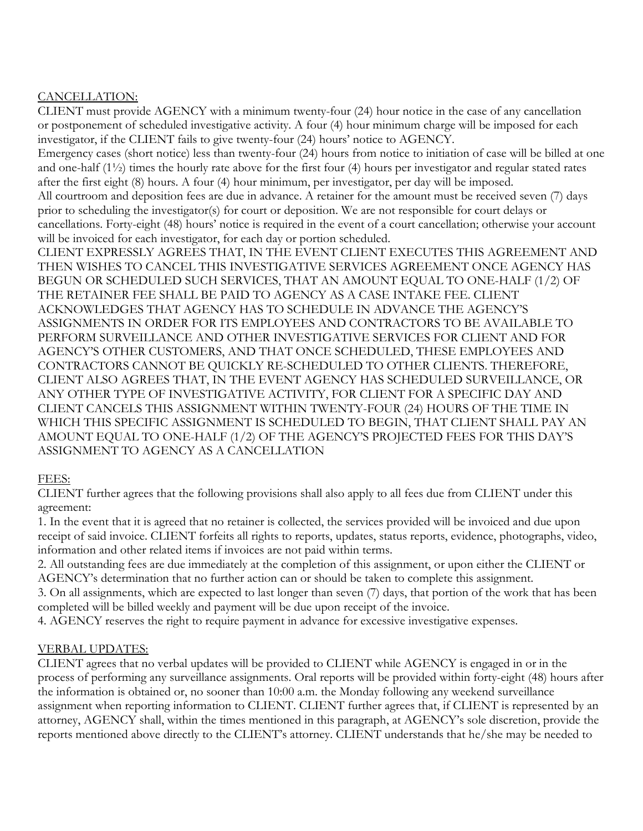## CANCELLATION:

CLIENT must provide AGENCY with a minimum twenty-four (24) hour notice in the case of any cancellation or postponement of scheduled investigative activity. A four (4) hour minimum charge will be imposed for each investigator, if the CLIENT fails to give twenty-four (24) hours' notice to AGENCY.

Emergency cases (short notice) less than twenty-four (24) hours from notice to initiation of case will be billed at one and one-half (1½) times the hourly rate above for the first four (4) hours per investigator and regular stated rates after the first eight (8) hours. A four (4) hour minimum, per investigator, per day will be imposed.

All courtroom and deposition fees are due in advance. A retainer for the amount must be received seven (7) days prior to scheduling the investigator(s) for court or deposition. We are not responsible for court delays or cancellations. Forty-eight (48) hours' notice is required in the event of a court cancellation; otherwise your account will be invoiced for each investigator, for each day or portion scheduled.

CLIENT EXPRESSLY AGREES THAT, IN THE EVENT CLIENT EXECUTES THIS AGREEMENT AND THEN WISHES TO CANCEL THIS INVESTIGATIVE SERVICES AGREEMENT ONCE AGENCY HAS BEGUN OR SCHEDULED SUCH SERVICES, THAT AN AMOUNT EQUAL TO ONE-HALF (1/2) OF THE RETAINER FEE SHALL BE PAID TO AGENCY AS A CASE INTAKE FEE. CLIENT ACKNOWLEDGES THAT AGENCY HAS TO SCHEDULE IN ADVANCE THE AGENCY'S ASSIGNMENTS IN ORDER FOR ITS EMPLOYEES AND CONTRACTORS TO BE AVAILABLE TO PERFORM SURVEILLANCE AND OTHER INVESTIGATIVE SERVICES FOR CLIENT AND FOR AGENCY'S OTHER CUSTOMERS, AND THAT ONCE SCHEDULED, THESE EMPLOYEES AND CONTRACTORS CANNOT BE QUICKLY RE-SCHEDULED TO OTHER CLIENTS. THEREFORE, CLIENT ALSO AGREES THAT, IN THE EVENT AGENCY HAS SCHEDULED SURVEILLANCE, OR ANY OTHER TYPE OF INVESTIGATIVE ACTIVITY, FOR CLIENT FOR A SPECIFIC DAY AND CLIENT CANCELS THIS ASSIGNMENT WITHIN TWENTY-FOUR (24) HOURS OF THE TIME IN WHICH THIS SPECIFIC ASSIGNMENT IS SCHEDULED TO BEGIN, THAT CLIENT SHALL PAY AN AMOUNT EQUAL TO ONE-HALF (1/2) OF THE AGENCY'S PROJECTED FEES FOR THIS DAY'S ASSIGNMENT TO AGENCY AS A CANCELLATION

## FEES:

CLIENT further agrees that the following provisions shall also apply to all fees due from CLIENT under this agreement:

1. In the event that it is agreed that no retainer is collected, the services provided will be invoiced and due upon receipt of said invoice. CLIENT forfeits all rights to reports, updates, status reports, evidence, photographs, video, information and other related items if invoices are not paid within terms.

2. All outstanding fees are due immediately at the completion of this assignment, or upon either the CLIENT or AGENCY's determination that no further action can or should be taken to complete this assignment.

3. On all assignments, which are expected to last longer than seven (7) days, that portion of the work that has been completed will be billed weekly and payment will be due upon receipt of the invoice.

4. AGENCY reserves the right to require payment in advance for excessive investigative expenses.

## VERBAL UPDATES:

CLIENT agrees that no verbal updates will be provided to CLIENT while AGENCY is engaged in or in the process of performing any surveillance assignments. Oral reports will be provided within forty-eight (48) hours after the information is obtained or, no sooner than 10:00 a.m. the Monday following any weekend surveillance assignment when reporting information to CLIENT. CLIENT further agrees that, if CLIENT is represented by an attorney, AGENCY shall, within the times mentioned in this paragraph, at AGENCY's sole discretion, provide the reports mentioned above directly to the CLIENT's attorney. CLIENT understands that he/she may be needed to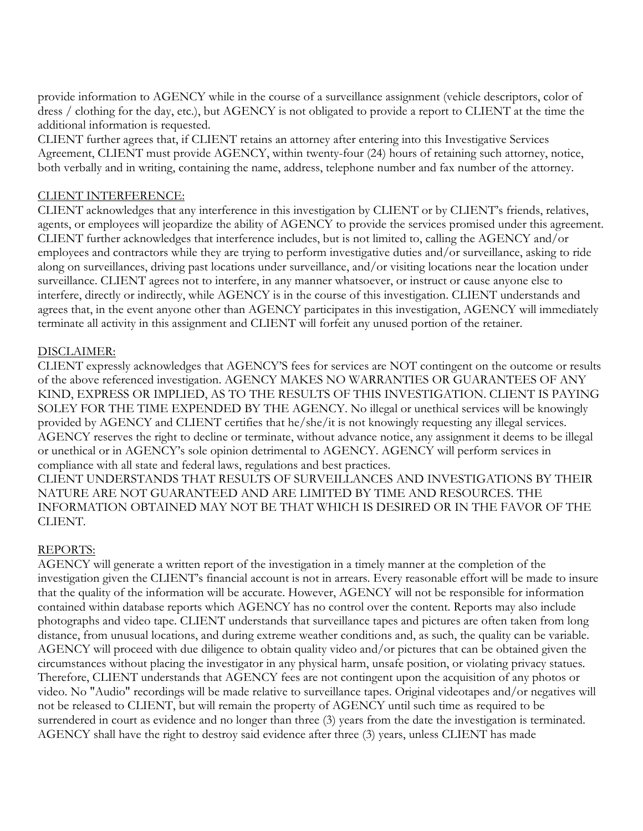provide information to AGENCY while in the course of a surveillance assignment (vehicle descriptors, color of dress / clothing for the day, etc.), but AGENCY is not obligated to provide a report to CLIENT at the time the additional information is requested.

CLIENT further agrees that, if CLIENT retains an attorney after entering into this Investigative Services Agreement, CLIENT must provide AGENCY, within twenty-four (24) hours of retaining such attorney, notice, both verbally and in writing, containing the name, address, telephone number and fax number of the attorney.

## CLIENT INTERFERENCE:

CLIENT acknowledges that any interference in this investigation by CLIENT or by CLIENT's friends, relatives, agents, or employees will jeopardize the ability of AGENCY to provide the services promised under this agreement. CLIENT further acknowledges that interference includes, but is not limited to, calling the AGENCY and/or employees and contractors while they are trying to perform investigative duties and/or surveillance, asking to ride along on surveillances, driving past locations under surveillance, and/or visiting locations near the location under surveillance. CLIENT agrees not to interfere, in any manner whatsoever, or instruct or cause anyone else to interfere, directly or indirectly, while AGENCY is in the course of this investigation. CLIENT understands and agrees that, in the event anyone other than AGENCY participates in this investigation, AGENCY will immediately terminate all activity in this assignment and CLIENT will forfeit any unused portion of the retainer.

## DISCLAIMER:

CLIENT expressly acknowledges that AGENCY'S fees for services are NOT contingent on the outcome or results of the above referenced investigation. AGENCY MAKES NO WARRANTIES OR GUARANTEES OF ANY KIND, EXPRESS OR IMPLIED, AS TO THE RESULTS OF THIS INVESTIGATION. CLIENT IS PAYING SOLEY FOR THE TIME EXPENDED BY THE AGENCY. No illegal or unethical services will be knowingly provided by AGENCY and CLIENT certifies that he/she/it is not knowingly requesting any illegal services. AGENCY reserves the right to decline or terminate, without advance notice, any assignment it deems to be illegal or unethical or in AGENCY's sole opinion detrimental to AGENCY. AGENCY will perform services in compliance with all state and federal laws, regulations and best practices.

CLIENT UNDERSTANDS THAT RESULTS OF SURVEILLANCES AND INVESTIGATIONS BY THEIR NATURE ARE NOT GUARANTEED AND ARE LIMITED BY TIME AND RESOURCES. THE INFORMATION OBTAINED MAY NOT BE THAT WHICH IS DESIRED OR IN THE FAVOR OF THE CLIENT.

## REPORTS:

AGENCY will generate a written report of the investigation in a timely manner at the completion of the investigation given the CLIENT's financial account is not in arrears. Every reasonable effort will be made to insure that the quality of the information will be accurate. However, AGENCY will not be responsible for information contained within database reports which AGENCY has no control over the content. Reports may also include photographs and video tape. CLIENT understands that surveillance tapes and pictures are often taken from long distance, from unusual locations, and during extreme weather conditions and, as such, the quality can be variable. AGENCY will proceed with due diligence to obtain quality video and/or pictures that can be obtained given the circumstances without placing the investigator in any physical harm, unsafe position, or violating privacy statues. Therefore, CLIENT understands that AGENCY fees are not contingent upon the acquisition of any photos or video. No "Audio" recordings will be made relative to surveillance tapes. Original videotapes and/or negatives will not be released to CLIENT, but will remain the property of AGENCY until such time as required to be surrendered in court as evidence and no longer than three (3) years from the date the investigation is terminated. AGENCY shall have the right to destroy said evidence after three (3) years, unless CLIENT has made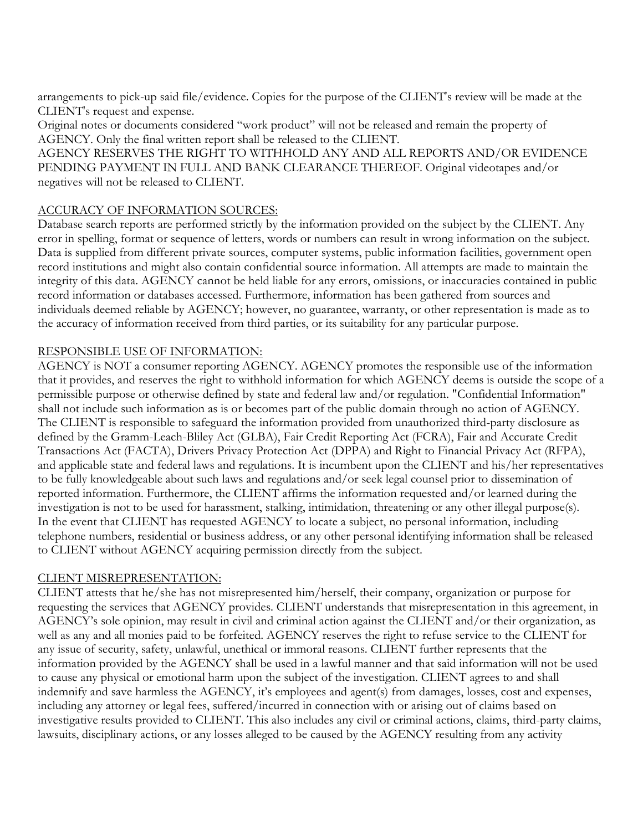arrangements to pick-up said file/evidence. Copies for the purpose of the CLIENT's review will be made at the CLIENT's request and expense.

Original notes or documents considered "work product" will not be released and remain the property of AGENCY. Only the final written report shall be released to the CLIENT.

AGENCY RESERVES THE RIGHT TO WITHHOLD ANY AND ALL REPORTS AND/OR EVIDENCE PENDING PAYMENT IN FULL AND BANK CLEARANCE THEREOF. Original videotapes and/or negatives will not be released to CLIENT.

## ACCURACY OF INFORMATION SOURCES:

Database search reports are performed strictly by the information provided on the subject by the CLIENT. Any error in spelling, format or sequence of letters, words or numbers can result in wrong information on the subject. Data is supplied from different private sources, computer systems, public information facilities, government open record institutions and might also contain confidential source information. All attempts are made to maintain the integrity of this data. AGENCY cannot be held liable for any errors, omissions, or inaccuracies contained in public record information or databases accessed. Furthermore, information has been gathered from sources and individuals deemed reliable by AGENCY; however, no guarantee, warranty, or other representation is made as to the accuracy of information received from third parties, or its suitability for any particular purpose.

## RESPONSIBLE USE OF INFORMATION:

AGENCY is NOT a consumer reporting AGENCY. AGENCY promotes the responsible use of the information that it provides, and reserves the right to withhold information for which AGENCY deems is outside the scope of a permissible purpose or otherwise defined by state and federal law and/or regulation. "Confidential Information" shall not include such information as is or becomes part of the public domain through no action of AGENCY. The CLIENT is responsible to safeguard the information provided from unauthorized third-party disclosure as defined by the Gramm-Leach-Bliley Act (GLBA), Fair Credit Reporting Act (FCRA), Fair and Accurate Credit Transactions Act (FACTA), Drivers Privacy Protection Act (DPPA) and Right to Financial Privacy Act (RFPA), and applicable state and federal laws and regulations. It is incumbent upon the CLIENT and his/her representatives to be fully knowledgeable about such laws and regulations and/or seek legal counsel prior to dissemination of reported information. Furthermore, the CLIENT affirms the information requested and/or learned during the investigation is not to be used for harassment, stalking, intimidation, threatening or any other illegal purpose(s). In the event that CLIENT has requested AGENCY to locate a subject, no personal information, including telephone numbers, residential or business address, or any other personal identifying information shall be released to CLIENT without AGENCY acquiring permission directly from the subject.

## CLIENT MISREPRESENTATION:

CLIENT attests that he/she has not misrepresented him/herself, their company, organization or purpose for requesting the services that AGENCY provides. CLIENT understands that misrepresentation in this agreement, in AGENCY's sole opinion, may result in civil and criminal action against the CLIENT and/or their organization, as well as any and all monies paid to be forfeited. AGENCY reserves the right to refuse service to the CLIENT for any issue of security, safety, unlawful, unethical or immoral reasons. CLIENT further represents that the information provided by the AGENCY shall be used in a lawful manner and that said information will not be used to cause any physical or emotional harm upon the subject of the investigation. CLIENT agrees to and shall indemnify and save harmless the AGENCY, it's employees and agent(s) from damages, losses, cost and expenses, including any attorney or legal fees, suffered/incurred in connection with or arising out of claims based on investigative results provided to CLIENT. This also includes any civil or criminal actions, claims, third-party claims, lawsuits, disciplinary actions, or any losses alleged to be caused by the AGENCY resulting from any activity